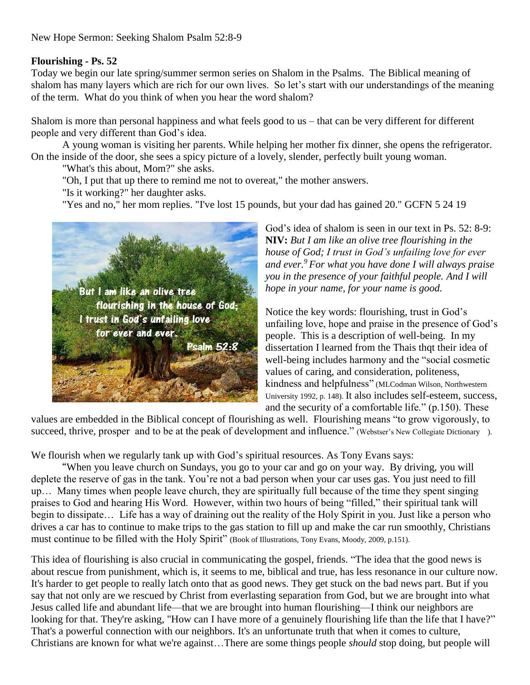New Hope Sermon: Seeking Shalom Psalm 52:8-9

## **Flourishing - Ps. 52**

Today we begin our late spring/summer sermon series on Shalom in the Psalms. The Biblical meaning of shalom has many layers which are rich for our own lives. So let's start with our understandings of the meaning of the term. What do you think of when you hear the word shalom?

Shalom is more than personal happiness and what feels good to us – that can be very different for different people and very different than God's idea.

A young woman is visiting her parents. While helping her mother fix dinner, she opens the refrigerator. On the inside of the door, she sees a spicy picture of a lovely, slender, perfectly built young woman.

"What's this about, Mom?" she asks.

"Oh, I put that up there to remind me not to overeat," the mother answers.

"Is it working?" her daughter asks.

"Yes and no," her mom replies. "I've lost 15 pounds, but your dad has gained 20." GCFN 5 24 19



God's idea of shalom is seen in our text in Ps. 52: 8-9: **NIV:** *But I am like an olive tree flourishing in the house of God; I trust in God's unfailing love for ever and ever.<sup>9</sup> For what you have done I will always praise you in the presence of your faithful people. And I will hope in your name, for your name is good.*

Notice the key words: flourishing, trust in God's unfailing love, hope and praise in the presence of God's people. This is a description of well-being. In my dissertation I learned from the Thais thqt their idea of well-being includes harmony and the "social cosmetic values of caring, and consideration, politeness, kindness and helpfulness" (MLCodman Wilson, Northwestern University 1992, p. 148). It also includes self-esteem, success, and the security of a comfortable life." (p.150). These

values are embedded in the Biblical concept of flourishing as well. Flourishing means "to grow vigorously, to succeed, thrive, prosper and to be at the peak of development and influence." (Webstser's New Collegiate Dictionary ).

We flourish when we regularly tank up with God's spiritual resources. As Tony Evans says:

"When you leave church on Sundays, you go to your car and go on your way. By driving, you will deplete the reserve of gas in the tank. You're not a bad person when your car uses gas. You just need to fill up… Many times when people leave church, they are spiritually full because of the time they spent singing praises to God and hearing His Word. However, within two hours of being "filled," their spiritual tank will begin to dissipate… Life has a way of draining out the reality of the Holy Spirit in you. Just like a person who drives a car has to continue to make trips to the gas station to fill up and make the car run smoothly, Christians must continue to be filled with the Holy Spirit" (Book of Illustrations, Tony Evans, Moody, 2009, p.151).

This idea of flourishing is also crucial in communicating the gospel, friends. "The idea that the good news is about rescue from punishment, which is, it seems to me, biblical and true, has less resonance in our culture now. It's harder to get people to really latch onto that as good news. They get stuck on the bad news part. But if you say that not only are we rescued by Christ from everlasting separation from God, but we are brought into what Jesus called life and abundant life—that we are brought into human flourishing—I think our neighbors are looking for that. They're asking, "How can I have more of a genuinely flourishing life than the life that I have?" That's a powerful connection with our neighbors. It's an unfortunate truth that when it comes to culture, Christians are known for what we're against…There are some things people *should* stop doing, but people will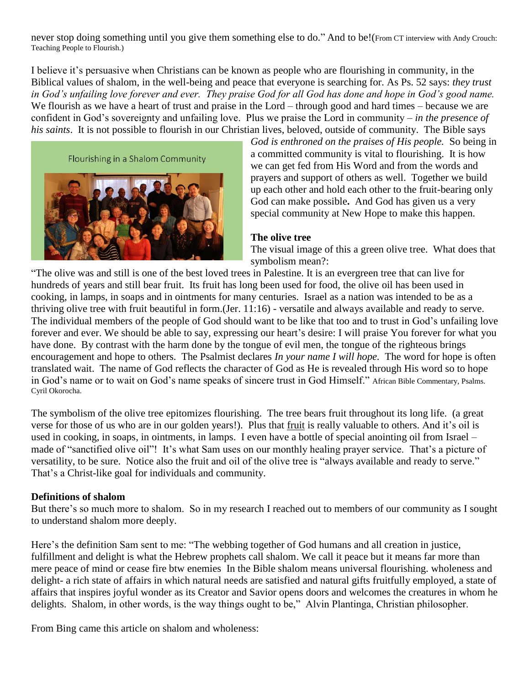never stop doing something until you give them something else to do." And to be!(From CT interview with Andy Crouch: Teaching People to Flourish.)

I believe it's persuasive when Christians can be known as people who are flourishing in community, in the Biblical values of shalom, in the well-being and peace that everyone is searching for. As Ps. 52 says: *they trust in God's unfailing love forever and ever. They praise God for all God has done and hope in God's good name.* We flourish as we have a heart of trust and praise in the Lord – through good and hard times – because we are confident in God's sovereignty and unfailing love. Plus we praise the Lord in community – *in the presence of his saints*. It is not possible to flourish in our Christian lives, beloved, outside of community. The Bible says

Flourishing in a Shalom Community



*God is enthroned on the praises of His people.* So being in a committed community is vital to flourishing. It is how we can get fed from His Word and from the words and prayers and support of others as well. Together we build up each other and hold each other to the fruit-bearing only God can make possible**.** And God has given us a very special community at New Hope to make this happen.

## **The olive tree**

The visual image of this a green olive tree. What does that symbolism mean?:

"The olive was and still is one of the best loved trees in Palestine. It is an evergreen tree that can live for hundreds of years and still bear fruit. Its fruit has long been used for food, the olive oil has been used in cooking, in lamps, in soaps and in ointments for many centuries. Israel as a nation was intended to be as a thriving olive tree with fruit beautiful in form.(Jer. 11:16) - versatile and always available and ready to serve. The individual members of the people of God should want to be like that too and to trust in God's unfailing love forever and ever. We should be able to say, expressing our heart's desire: I will praise You forever for what you have done. By contrast with the harm done by the tongue of evil men, the tongue of the righteous brings encouragement and hope to others. The Psalmist declares *In your name I will hope.* The word for hope is often translated wait. The name of God reflects the character of God as He is revealed through His word so to hope in God's name or to wait on God's name speaks of sincere trust in God Himself." African Bible Commentary, Psalms. Cyril Okorocha.

The symbolism of the olive tree epitomizes flourishing. The tree bears fruit throughout its long life. (a great verse for those of us who are in our golden years!). Plus that fruit is really valuable to others. And it's oil is used in cooking, in soaps, in ointments, in lamps. I even have a bottle of special anointing oil from Israel – made of "sanctified olive oil"! It's what Sam uses on our monthly healing prayer service. That's a picture of versatility, to be sure. Notice also the fruit and oil of the olive tree is "always available and ready to serve." That's a Christ-like goal for individuals and community.

## **Definitions of shalom**

But there's so much more to shalom. So in my research I reached out to members of our community as I sought to understand shalom more deeply.

Here's the definition Sam sent to me: "The webbing together of God humans and all creation in justice, fulfillment and delight is what the Hebrew prophets call shalom. We call it peace but it means far more than mere peace of mind or cease fire btw enemies In the Bible shalom means universal flourishing. wholeness and delight- a rich state of affairs in which natural needs are satisfied and natural gifts fruitfully employed, a state of affairs that inspires joyful wonder as its Creator and Savior opens doors and welcomes the creatures in whom he delights. Shalom, in other words, is the way things ought to be," Alvin Plantinga, Christian philosopher.

From Bing came this article on shalom and wholeness: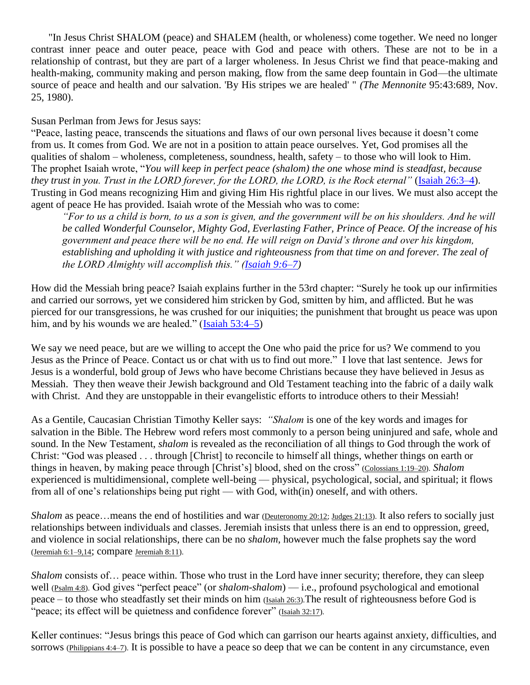"In Jesus Christ SHALOM (peace) and SHALEM (health, or wholeness) come together. We need no longer contrast inner peace and outer peace, peace with God and peace with others. These are not to be in a relationship of contrast, but they are part of a larger wholeness. In Jesus Christ we find that peace-making and health-making, community making and person making, flow from the same deep fountain in God—the ultimate source of peace and health and our salvation. 'By His stripes we are healed' " *(The Mennonite* 95:43:689, Nov. 25, 1980).

Susan Perlman from Jews for Jesus says:

"Peace, lasting peace, transcends the situations and flaws of our own personal lives because it doesn't come from us. It comes from God. We are not in a position to attain peace ourselves. Yet, God promises all the qualities of shalom – wholeness, completeness, soundness, health, safety – to those who will look to Him. The prophet Isaiah wrote, "*You will keep in perfect peace (shalom) the one whose mind is steadfast, because they trust in you. Trust in the LORD forever, for the LORD, the LORD, is the Rock eternal"* [\(Isaiah 26:3–4\)](https://biblia.com/bible/esv/Isa%2026.3%E2%80%934). Trusting in God means recognizing Him and giving Him His rightful place in our lives. We must also accept the agent of peace He has provided. Isaiah wrote of the Messiah who was to come:

*"For to us a child is born, to us a son is given, and the government will be on his shoulders. And he will be called Wonderful Counselor, Mighty God, Everlasting Father, Prince of Peace. Of the increase of his government and peace there will be no end. He will reign on David's throne and over his kingdom, establishing and upholding it with justice and righteousness from that time on and forever. The zeal of the LORD Almighty will accomplish this." [\(Isaiah 9:6–7\)](https://biblia.com/bible/esv/Isa%209.6%E2%80%937)*

How did the Messiah bring peace? Isaiah explains further in the 53rd chapter: "Surely he took up our infirmities and carried our sorrows, yet we considered him stricken by God, smitten by him, and afflicted. But he was pierced for our transgressions, he was crushed for our iniquities; the punishment that brought us peace was upon him, and by his wounds we are healed." [\(Isaiah 53:4–5\)](https://biblia.com/bible/esv/Isa%2053.4%E2%80%935)

We say we need peace, but are we willing to accept the One who paid the price for us? We commend to you Jesus as the Prince of Peace. Contact us or chat with us to find out more." I love that last sentence. Jews for Jesus is a wonderful, bold group of Jews who have become Christians because they have believed in Jesus as Messiah. They then weave their Jewish background and Old Testament teaching into the fabric of a daily walk with Christ. And they are unstoppable in their evangelistic efforts to introduce others to their Messiah!

As a Gentile, Caucasian Christian Timothy Keller says: *"Shalom* is one of the key words and images for salvation in the Bible. The Hebrew word refers most commonly to a person being uninjured and safe, whole and sound. In the New Testament, *shalom* is revealed as the reconciliation of all things to God through the work of Christ: "God was pleased . . . through [Christ] to reconcile to himself all things, whether things on earth or things in heaven, by making peace through [Christ's] blood, shed on the cross" [\(Colossians 1:19–20\)](https://www.biblegateway.com/passage/?search=Colossians+1%3A19-20&version=NIV). *Shalom* experienced is multidimensional, complete well-being — physical, psychological, social, and spiritual; it flows from all of one's relationships being put right — with God, with(in) oneself, and with others.

*Shalom* as peace…means the end of hostilities and war [\(Deuteronomy 20:12;](https://www.biblegateway.com/passage/?search=Deuteronomy+20%3A12&version=NIV) [Judges 21:13\)](https://www.biblegateway.com/passage/?search=Judges+21%3A13&version=NIV). It also refers to socially just relationships between individuals and classes. Jeremiah insists that unless there is an end to oppression, greed, and violence in social relationships, there can be no *shalom*, however much the false prophets say the word [\(Jeremiah 6:1–9,14](https://www.biblegateway.com/passage/?search=Jeremiah+6%3A1+%E2%80%93+9%2C14&version=NIV); compare [Jeremiah 8:11\)](https://www.biblegateway.com/passage/?search=Jeremiah+8%3A11&version=NIV).

*Shalom* consists of… peace within. Those who trust in the Lord have inner security; therefore, they can sleep well [\(Psalm 4:8\)](https://www.biblegateway.com/passage/?search=Psalm+4%3A8&version=NIV). God gives "perfect peace" (or *shalom-shalom*) — i.e., profound psychological and emotional peace – to those who steadfastly set their minds on him [\(Isaiah 26:3\)](https://www.biblegateway.com/passage/?search=Isaiah+26%3A3&version=NIV).The result of righteousness before God is "peace; its effect will be quietness and confidence forever" [\(Isaiah 32:17\)](https://www.biblegateway.com/passage/?search=Isaiah+32%3A17&version=NIV).

Keller continues: "Jesus brings this peace of God which can garrison our hearts against anxiety, difficulties, and sorrows [\(Philippians 4:4–7\)](https://www.biblegateway.com/passage/?search=Philippians+4%3A4+%E2%80%93+7&version=NIV). It is possible to have a peace so deep that we can be content in any circumstance, even